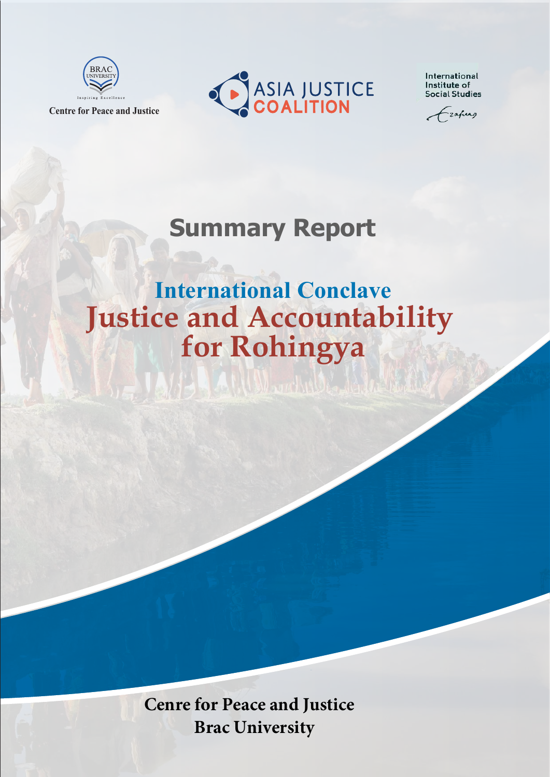

**Centre for Peace and Justice**

**CASIA JUSTICE** 

International Institute of **Social Studies** 

-zafuas

## **Summary Report**

# **Justice and Accountability for Rohingya International Conclave**

**Cenre for Peace and Justice Brac University**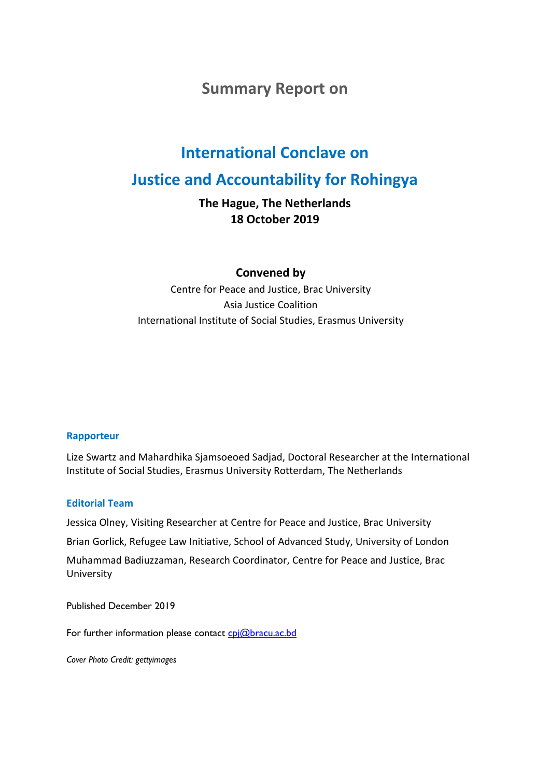#### **Summary Report on**

### **International Conclave on**

#### **Justice and Accountability for Rohingya**

**The Hague, The Netherlands 18 October 2019** 

**Convened by**

Centre for Peace and Justice, Brac University Asia Justice Coalition International Institute of Social Studies, Erasmus University

#### **Rapporteur**

Lize Swartz and Mahardhika Sjamsoeoed Sadjad, Doctoral Researcher at the International Institute of Social Studies, Erasmus University Rotterdam, The Netherlands

#### **Editorial Team**

Jessica Olney, Visiting Researcher at Centre for Peace and Justice, Brac University Brian Gorlick, Refugee Law Initiative, School of Advanced Study, University of London MXBadiuzzaman, Research Coordinator, Centre for Peace and Justice, Brac University

Published December 2019

For further information please contact cpj@bracu.ac.bd

*Cover Photo Credit: gettyimages*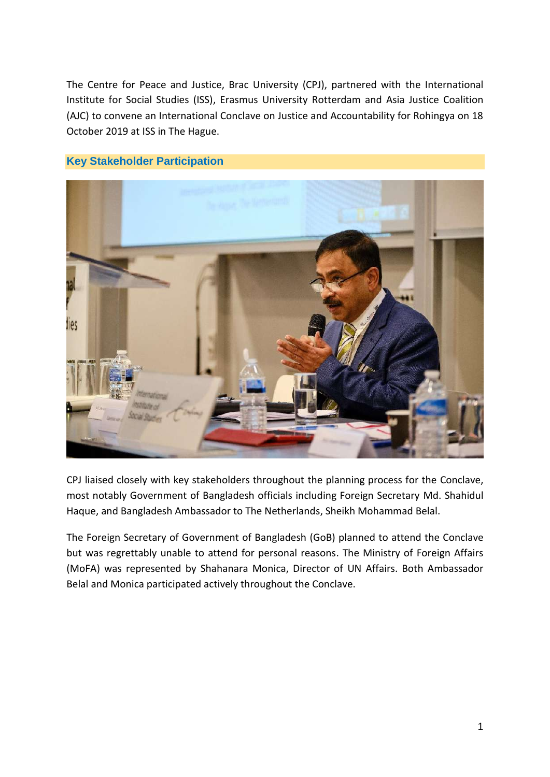The Centre for Peace and Justice, Brac University (CPJ), partnered with the International Institute for Social Studies (ISS), Erasmus University Rotterdam and Asia Justice Coalition (AJC) to convene an International Conclave on Justice and Accountability for Rohingya on 18 October 2019 at ISS in The Hague.

#### **Key Stakeholder Participation**



CPJ liaised closely with key stakeholders throughout the planning process for the Conclave, most notably Government of Bangladesh officials including Foreign Secretary Md. Shahidul Haque, and Bangladesh Ambassador to The Netherlands, Sheikh Mohammad Belal.

The Foreign Secretary of Government of Bangladesh (GoB) planned to attend the Conclave but was regrettably unable to attend for personal reasons. The Ministry of Foreign Affairs (MoFA) was represented by Shahanara Monica, Director of UN Affairs. Both Ambassador Belal and Monica participated actively throughout the Conclave.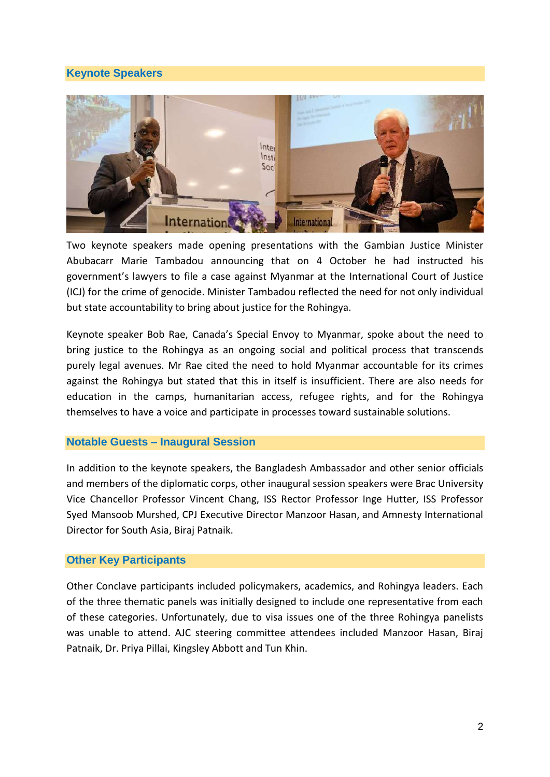#### **Keynote Speakers**



Two keynote speakers made opening presentations with the Gambian Justice Minister Abubacarr Marie Tambadou announcing that on 4 October he had instructed his government's lawyers to file a case against Myanmar at the International Court of Justice (ICJ) for the crime of genocide. Minister Tambadou reflected the need for not only individual but state accountability to bring about justice for the Rohingya.

Keynote speaker Bob Rae, Canada's Special Envoy to Myanmar, spoke about the need to bring justice to the Rohingya as an ongoing social and political process that transcends purely legal avenues. Mr Rae cited the need to hold Myanmar accountable for its crimes against the Rohingya but stated that this in itself is insufficient. There are also needs for education in the camps, humanitarian access, refugee rights, and for the Rohingya themselves to have a voice and participate in processes toward sustainable solutions.

#### **Notable Guests – Inaugural Session**

In addition to the keynote speakers, the Bangladesh Ambassador and other senior officials and members of the diplomatic corps, other inaugural session speakers were Brac University Vice Chancellor Professor Vincent Chang, ISS Rector Professor Inge Hutter, ISS Professor Syed Mansoob Murshed, CPJ Executive Director Manzoor Hasan, and Amnesty International Director for South Asia, Biraj Patnaik.

#### **Other Key Participants**

Other Conclave participants included policymakers, academics, and Rohingya leaders. Each of the three thematic panels was initially designed to include one representative from each of these categories. Unfortunately, due to visa issues one of the three Rohingya panelists was unable to attend. AJC steering committee attendees included Manzoor Hasan, Biraj Patnaik, Dr. Priya Pillai, Kingsley Abbott and Tun Khin.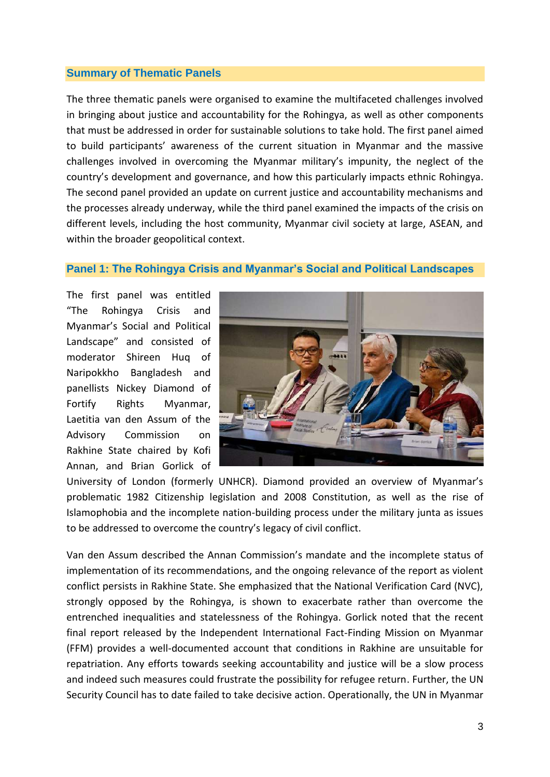#### **Summary of Thematic Panels**

The three thematic panels were organised to examine the multifaceted challenges involved in bringing about justice and accountability for the Rohingya, as well as other components that must be addressed in order for sustainable solutions to take hold. The first panel aimed to build participants' awareness of the current situation in Myanmar and the massive challenges involved in overcoming the Myanmar military's impunity, the neglect of the country's development and governance, and how this particularly impacts ethnic Rohingya. The second panel provided an update on current justice and accountability mechanisms and the processes already underway, while the third panel examined the impacts of the crisis on different levels, including the host community, Myanmar civil society at large, ASEAN, and within the broader geopolitical context.

#### **Panel 1: The Rohingya Crisis and Myanmar's Social and Political Landscapes**

The first panel was entitled "The Rohingya Crisis and Myanmar's Social and Political Landscape" and consisted of moderator Shireen Huq of Naripokkho Bangladesh and panellists Nickey Diamond of Fortify Rights Myanmar, Laetitia van den Assum of the Advisory Commission on Rakhine State chaired by Kofi Annan, and Brian Gorlick of



University of London (formerly UNHCR). Diamond provided an overview of Myanmar's problematic 1982 Citizenship legislation and 2008 Constitution, as well as the rise of Islamophobia and the incomplete nation-building process under the military junta as issues to be addressed to overcome the country's legacy of civil conflict.

Van den Assum described the Annan Commission's mandate and the incomplete status of implementation of its recommendations, and the ongoing relevance of the report as violent conflict persists in Rakhine State. She emphasized that the National Verification Card (NVC), strongly opposed by the Rohingya, is shown to exacerbate rather than overcome the entrenched inequalities and statelessness of the Rohingya. Gorlick noted that the recent final report released by the Independent International Fact-Finding Mission on Myanmar (FFM) provides a well-documented account that conditions in Rakhine are unsuitable for repatriation. Any efforts towards seeking accountability and justice will be a slow process and indeed such measures could frustrate the possibility for refugee return. Further, the UN Security Council has to date failed to take decisive action. Operationally, the UN in Myanmar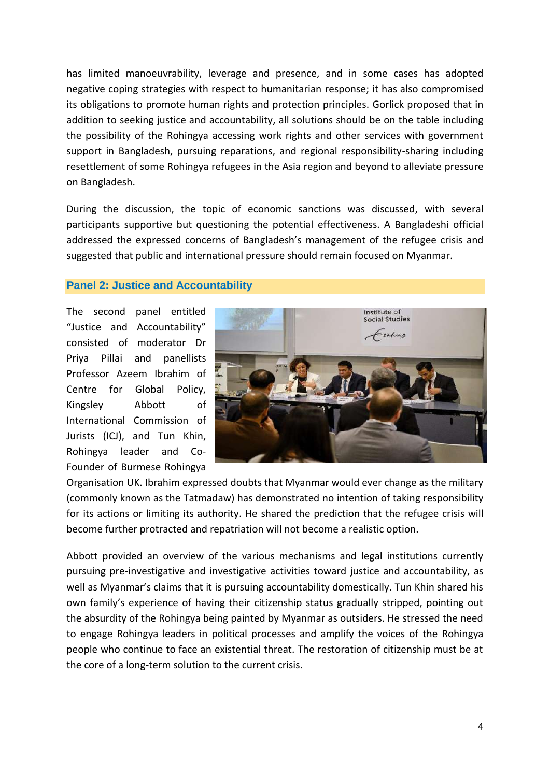has limited manoeuvrability, leverage and presence, and in some cases has adopted negative coping strategies with respect to humanitarian response; it has also compromised its obligations to promote human rights and protection principles. Gorlick proposed that in addition to seeking justice and accountability, all solutions should be on the table including the possibility of the Rohingya accessing work rights and other services with government support in Bangladesh, pursuing reparations, and regional responsibility-sharing including resettlement of some Rohingya refugees in the Asia region and beyond to alleviate pressure on Bangladesh.

During the discussion, the topic of economic sanctions was discussed, with several participants supportive but questioning the potential effectiveness. A Bangladeshi official addressed the expressed concerns of Bangladesh's management of the refugee crisis and suggested that public and international pressure should remain focused on Myanmar.

#### **Panel 2: Justice and Accountability**

The second panel entitled "Justice and Accountability" consisted of moderator Dr Priya Pillai and panellists Professor Azeem Ibrahim of Centre for Global Policy, Kingsley Abbott of International Commission of Jurists (ICJ), and Tun Khin, Rohingya leader and Co-Founder of Burmese Rohingya



Organisation UK. Ibrahim expressed doubts that Myanmar would ever change as the military (commonly known as the Tatmadaw) has demonstrated no intention of taking responsibility for its actions or limiting its authority. He shared the prediction that the refugee crisis will become further protracted and repatriation will not become a realistic option.

Abbott provided an overview of the various mechanisms and legal institutions currently pursuing pre-investigative and investigative activities toward justice and accountability, as well as Myanmar's claims that it is pursuing accountability domestically. Tun Khin shared his own family's experience of having their citizenship status gradually stripped, pointing out the absurdity of the Rohingya being painted by Myanmar as outsiders. He stressed the need to engage Rohingya leaders in political processes and amplify the voices of the Rohingya people who continue to face an existential threat. The restoration of citizenship must be at the core of a long-term solution to the current crisis.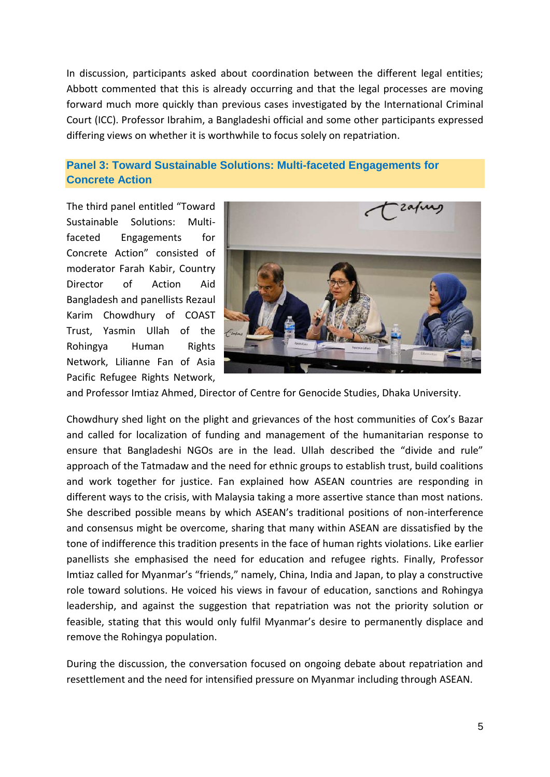In discussion, participants asked about coordination between the different legal entities; Abbott commented that this is already occurring and that the legal processes are moving forward much more quickly than previous cases investigated by the International Criminal Court (ICC). Professor Ibrahim, a Bangladeshi official and some other participants expressed differing views on whether it is worthwhile to focus solely on repatriation.

#### **Panel 3: Toward Sustainable Solutions: Multi-faceted Engagements for Concrete Action**

The third panel entitled "Toward Sustainable Solutions: Multifaceted Engagements for Concrete Action" consisted of moderator Farah Kabir, Country Director of Action Aid Bangladesh and panellists Rezaul Karim Chowdhury of COAST Trust, Yasmin Ullah of the Rohingya Human Rights Network, Lilianne Fan of Asia Pacific Refugee Rights Network,



and Professor Imtiaz Ahmed, Director of Centre for Genocide Studies, Dhaka University.

Chowdhury shed light on the plight and grievances of the host communities of Cox's Bazar and called for localization of funding and management of the humanitarian response to ensure that Bangladeshi NGOs are in the lead. Ullah described the "divide and rule" approach of the Tatmadaw and the need for ethnic groups to establish trust, build coalitions and work together for justice. Fan explained how ASEAN countries are responding in different ways to the crisis, with Malaysia taking a more assertive stance than most nations. She described possible means by which ASEAN's traditional positions of non-interference and consensus might be overcome, sharing that many within ASEAN are dissatisfied by the tone of indifference this tradition presents in the face of human rights violations. Like earlier panellists she emphasised the need for education and refugee rights. Finally, Professor Imtiaz called for Myanmar's "friends," namely, China, India and Japan, to play a constructive role toward solutions. He voiced his views in favour of education, sanctions and Rohingya leadership, and against the suggestion that repatriation was not the priority solution or feasible, stating that this would only fulfil Myanmar's desire to permanently displace and remove the Rohingya population.

During the discussion, the conversation focused on ongoing debate about repatriation and resettlement and the need for intensified pressure on Myanmar including through ASEAN.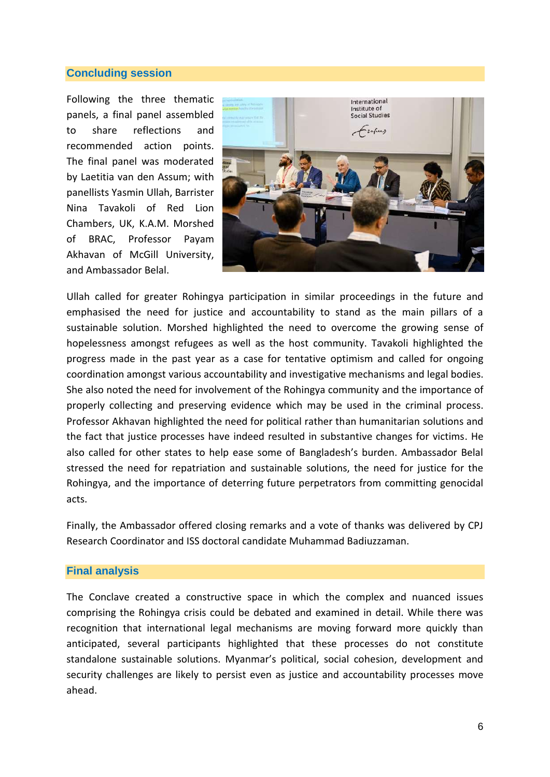#### **Concluding session**

Following the three thematic panels, a final panel assembled to share reflections and recommended action points. The final panel was moderated by Laetitia van den Assum; with panellists Yasmin Ullah, Barrister Nina Tavakoli of Red Lion Chambers, UK, K.A.M. Morshed of BRAC, Professor Payam Akhavan of McGill University, and Ambassador Belal.



Ullah called for greater Rohingya participation in similar proceedings in the future and emphasised the need for justice and accountability to stand as the main pillars of a sustainable solution. Morshed highlighted the need to overcome the growing sense of hopelessness amongst refugees as well as the host community. Tavakoli highlighted the progress made in the past year as a case for tentative optimism and called for ongoing coordination amongst various accountability and investigative mechanisms and legal bodies. She also noted the need for involvement of the Rohingya community and the importance of properly collecting and preserving evidence which may be used in the criminal process. Professor Akhavan highlighted the need for political rather than humanitarian solutions and the fact that justice processes have indeed resulted in substantive changes for victims. He also called for other states to help ease some of Bangladesh's burden. Ambassador Belal stressed the need for repatriation and sustainable solutions, the need for justice for the Rohingya, and the importance of deterring future perpetrators from committing genocidal acts.

Finally, the Ambassador offered closing remarks and a vote of thanks was delivered by CPJ Research Coordinator and ISS doctoral candidate Muhammad Badiuzzaman.

#### **Final analysis**

The Conclave created a constructive space in which the complex and nuanced issues comprising the Rohingya crisis could be debated and examined in detail. While there was recognition that international legal mechanisms are moving forward more quickly than anticipated, several participants highlighted that these processes do not constitute standalone sustainable solutions. Myanmar's political, social cohesion, development and security challenges are likely to persist even as justice and accountability processes move ahead.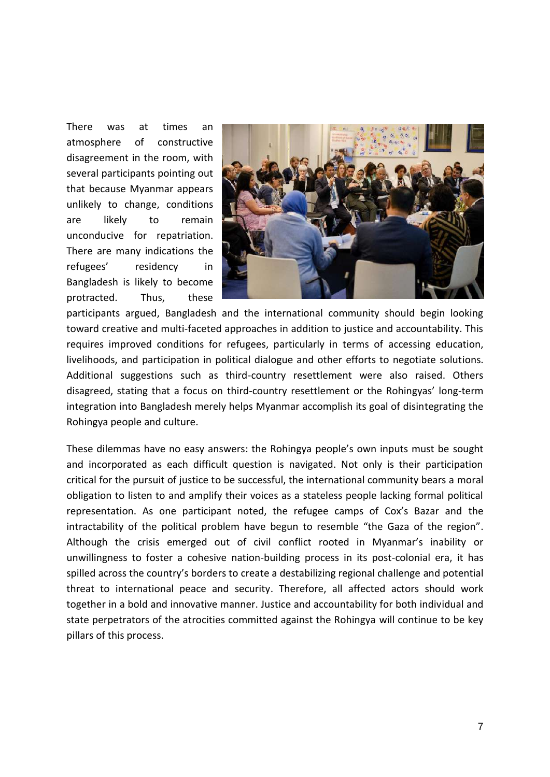There was at times an atmosphere of constructive disagreement in the room, with several participants pointing out that because Myanmar appears unlikely to change, conditions are likely to remain unconducive for repatriation. There are many indications the refugees' residency in Bangladesh is likely to become protracted. Thus, these



participants argued, Bangladesh and the international community should begin looking toward creative and multi-faceted approaches in addition to justice and accountability. This requires improved conditions for refugees, particularly in terms of accessing education, livelihoods, and participation in political dialogue and other efforts to negotiate solutions. Additional suggestions such as third-country resettlement were also raised. Others disagreed, stating that a focus on third-country resettlement or the Rohingyas' long-term integration into Bangladesh merely helps Myanmar accomplish its goal of disintegrating the Rohingya people and culture.

These dilemmas have no easy answers: the Rohingya people's own inputs must be sought and incorporated as each difficult question is navigated. Not only is their participation critical for the pursuit of justice to be successful, the international community bears a moral obligation to listen to and amplify their voices as a stateless people lacking formal political representation. As one participant noted, the refugee camps of Cox's Bazar and the intractability of the political problem have begun to resemble "the Gaza of the region". Although the crisis emerged out of civil conflict rooted in Myanmar's inability or unwillingness to foster a cohesive nation-building process in its post-colonial era, it has spilled across the country's borders to create a destabilizing regional challenge and potential threat to international peace and security. Therefore, all affected actors should work together in a bold and innovative manner. Justice and accountability for both individual and state perpetrators of the atrocities committed against the Rohingya will continue to be key pillars of this process.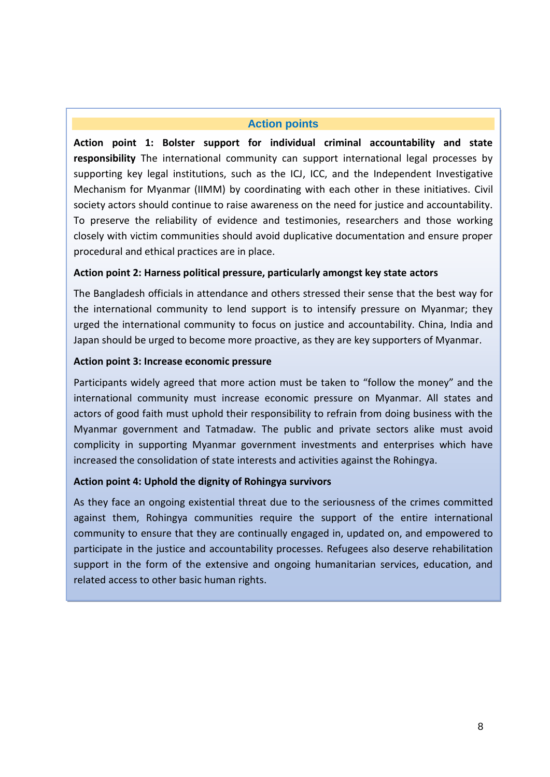#### **Action points**

**Action point 1: Bolster support for individual criminal accountability and state responsibility** The international community can support international legal processes by supporting key legal institutions, such as the ICJ, ICC, and the Independent Investigative Mechanism for Myanmar (IIMM) by coordinating with each other in these initiatives. Civil society actors should continue to raise awareness on the need for justice and accountability. To preserve the reliability of evidence and testimonies, researchers and those working closely with victim communities should avoid duplicative documentation and ensure proper procedural and ethical practices are in place.

#### **Action point 2: Harness political pressure, particularly amongst key state actors**

The Bangladesh officials in attendance and others stressed their sense that the best way for the international community to lend support is to intensify pressure on Myanmar; they urged the international community to focus on justice and accountability. China, India and Japan should be urged to become more proactive, as they are key supporters of Myanmar.

#### **Action point 3: Increase economic pressure**

Participants widely agreed that more action must be taken to "follow the money" and the international community must increase economic pressure on Myanmar. All states and actors of good faith must uphold their responsibility to refrain from doing business with the Myanmar government and Tatmadaw. The public and private sectors alike must avoid complicity in supporting Myanmar government investments and enterprises which have increased the consolidation of state interests and activities against the Rohingya.

#### **Action point 4: Uphold the dignity of Rohingya survivors**

As they face an ongoing existential threat due to the seriousness of the crimes committed against them, Rohingya communities require the support of the entire international community to ensure that they are continually engaged in, updated on, and empowered to participate in the justice and accountability processes. Refugees also deserve rehabilitation support in the form of the extensive and ongoing humanitarian services, education, and related access to other basic human rights.